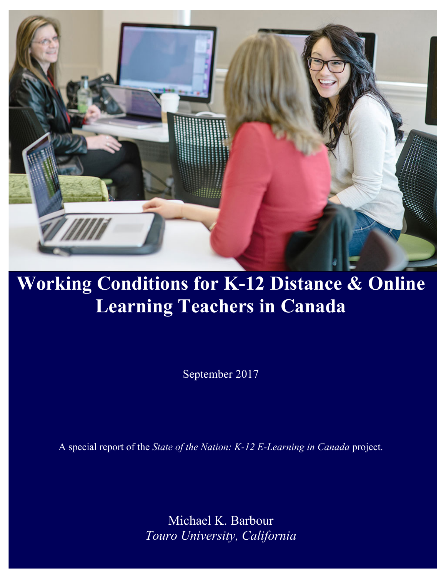

# **Working Conditions for K-12 Distance & Online Learning Teachers in Canada**

September 2017

A special report of the *State of the Nation: K-12 E-Learning in Canada* project.

Michael K. Barbour *Touro University, California*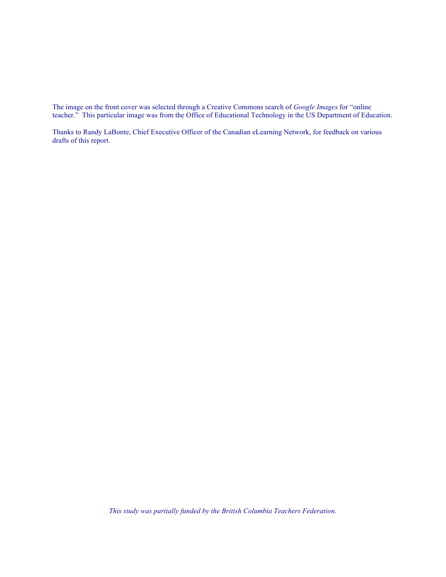The image on the front cover was selected through a Creative Commons search of *Google Images* for "online teacher." This particular image was from the Office of Educational Technology in the US Department of Education.

Thanks to Randy LaBonte, Chief Executive Officer of the Canadian eLearning Network, for feedback on various drafts of this report.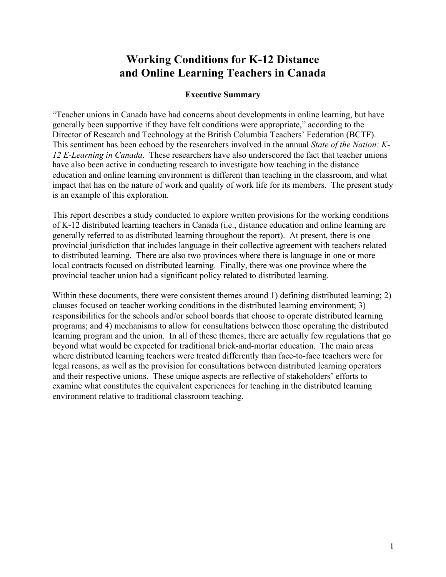## **Working Conditions for K-12 Distance and Online Learning Teachers in Canada**

#### **Executive Summary**

"Teacher unions in Canada have had concerns about developments in online learning, but have generally been supportive if they have felt conditions were appropriate," according to the Director of Research and Technology at the British Columbia Teachers' Federation (BCTF). This sentiment has been echoed by the researchers involved in the annual *State of the Nation: K-12 E-Learning in Canada*. These researchers have also underscored the fact that teacher unions have also been active in conducting research to investigate how teaching in the distance education and online learning environment is different than teaching in the classroom, and what impact that has on the nature of work and quality of work life for its members. The present study is an example of this exploration.

This report describes a study conducted to explore written provisions for the working conditions of K-12 distributed learning teachers in Canada (i.e., distance education and online learning are generally referred to as distributed learning throughout the report). At present, there is one provincial jurisdiction that includes language in their collective agreement with teachers related to distributed learning. There are also two provinces where there is language in one or more local contracts focused on distributed learning. Finally, there was one province where the provincial teacher union had a significant policy related to distributed learning.

Within these documents, there were consistent themes around 1) defining distributed learning; 2) clauses focused on teacher working conditions in the distributed learning environment; 3) responsibilities for the schools and/or school boards that choose to operate distributed learning programs; and 4) mechanisms to allow for consultations between those operating the distributed learning program and the union. In all of these themes, there are actually few regulations that go beyond what would be expected for traditional brick-and-mortar education. The main areas where distributed learning teachers were treated differently than face-to-face teachers were for legal reasons, as well as the provision for consultations between distributed learning operators and their respective unions. These unique aspects are reflective of stakeholders' efforts to examine what constitutes the equivalent experiences for teaching in the distributed learning environment relative to traditional classroom teaching.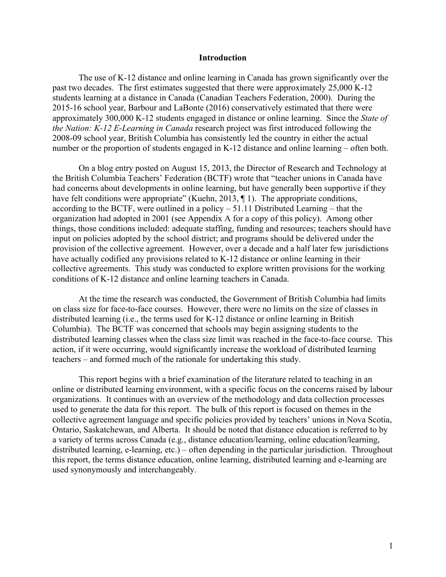#### **Introduction**

The use of K-12 distance and online learning in Canada has grown significantly over the past two decades. The first estimates suggested that there were approximately 25,000 K-12 students learning at a distance in Canada (Canadian Teachers Federation, 2000). During the 2015-16 school year, Barbour and LaBonte (2016) conservatively estimated that there were approximately 300,000 K-12 students engaged in distance or online learning. Since the *State of the Nation: K-12 E-Learning in Canada* research project was first introduced following the 2008-09 school year, British Columbia has consistently led the country in either the actual number or the proportion of students engaged in K-12 distance and online learning – often both.

On a blog entry posted on August 15, 2013, the Director of Research and Technology at the British Columbia Teachers' Federation (BCTF) wrote that "teacher unions in Canada have had concerns about developments in online learning, but have generally been supportive if they have felt conditions were appropriate" (Kuehn, 2013, ¶ 1). The appropriate conditions, according to the BCTF, were outlined in a policy – 51.11 Distributed Learning – that the organization had adopted in 2001 (see Appendix A for a copy of this policy). Among other things, those conditions included: adequate staffing, funding and resources; teachers should have input on policies adopted by the school district; and programs should be delivered under the provision of the collective agreement. However, over a decade and a half later few jurisdictions have actually codified any provisions related to K-12 distance or online learning in their collective agreements. This study was conducted to explore written provisions for the working conditions of K-12 distance and online learning teachers in Canada.

At the time the research was conducted, the Government of British Columbia had limits on class size for face-to-face courses. However, there were no limits on the size of classes in distributed learning (i.e., the terms used for K-12 distance or online learning in British Columbia). The BCTF was concerned that schools may begin assigning students to the distributed learning classes when the class size limit was reached in the face-to-face course. This action, if it were occurring, would significantly increase the workload of distributed learning teachers – and formed much of the rationale for undertaking this study.

This report begins with a brief examination of the literature related to teaching in an online or distributed learning environment, with a specific focus on the concerns raised by labour organizations. It continues with an overview of the methodology and data collection processes used to generate the data for this report. The bulk of this report is focused on themes in the collective agreement language and specific policies provided by teachers' unions in Nova Scotia, Ontario, Saskatchewan, and Alberta. It should be noted that distance education is referred to by a variety of terms across Canada (e.g., distance education/learning, online education/learning, distributed learning, e-learning, etc.) – often depending in the particular jurisdiction. Throughout this report, the terms distance education, online learning, distributed learning and e-learning are used synonymously and interchangeably.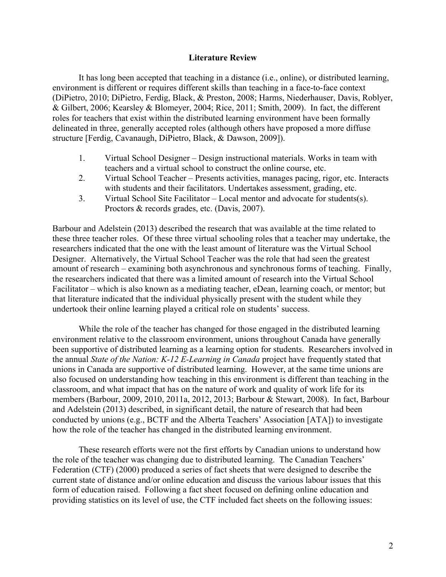#### **Literature Review**

It has long been accepted that teaching in a distance (i.e., online), or distributed learning, environment is different or requires different skills than teaching in a face-to-face context (DiPietro, 2010; DiPietro, Ferdig, Black, & Preston, 2008; Harms, Niederhauser, Davis, Roblyer, & Gilbert, 2006; Kearsley & Blomeyer, 2004; Rice, 2011; Smith, 2009). In fact, the different roles for teachers that exist within the distributed learning environment have been formally delineated in three, generally accepted roles (although others have proposed a more diffuse structure [Ferdig, Cavanaugh, DiPietro, Black, & Dawson, 2009]).

- 1. Virtual School Designer Design instructional materials. Works in team with teachers and a virtual school to construct the online course, etc.
- 2. Virtual School Teacher Presents activities, manages pacing, rigor, etc. Interacts with students and their facilitators. Undertakes assessment, grading, etc.
- 3. Virtual School Site Facilitator Local mentor and advocate for students(s). Proctors & records grades, etc. (Davis, 2007).

Barbour and Adelstein (2013) described the research that was available at the time related to these three teacher roles. Of these three virtual schooling roles that a teacher may undertake, the researchers indicated that the one with the least amount of literature was the Virtual School Designer. Alternatively, the Virtual School Teacher was the role that had seen the greatest amount of research – examining both asynchronous and synchronous forms of teaching. Finally, the researchers indicated that there was a limited amount of research into the Virtual School Facilitator – which is also known as a mediating teacher, eDean, learning coach, or mentor; but that literature indicated that the individual physically present with the student while they undertook their online learning played a critical role on students' success.

While the role of the teacher has changed for those engaged in the distributed learning environment relative to the classroom environment, unions throughout Canada have generally been supportive of distributed learning as a learning option for students. Researchers involved in the annual *State of the Nation: K-12 E-Learning in Canada* project have frequently stated that unions in Canada are supportive of distributed learning. However, at the same time unions are also focused on understanding how teaching in this environment is different than teaching in the classroom, and what impact that has on the nature of work and quality of work life for its members (Barbour, 2009, 2010, 2011a, 2012, 2013; Barbour & Stewart, 2008). In fact, Barbour and Adelstein (2013) described, in significant detail, the nature of research that had been conducted by unions (e.g., BCTF and the Alberta Teachers' Association [ATA]) to investigate how the role of the teacher has changed in the distributed learning environment.

These research efforts were not the first efforts by Canadian unions to understand how the role of the teacher was changing due to distributed learning. The Canadian Teachers' Federation (CTF) (2000) produced a series of fact sheets that were designed to describe the current state of distance and/or online education and discuss the various labour issues that this form of education raised. Following a fact sheet focused on defining online education and providing statistics on its level of use, the CTF included fact sheets on the following issues: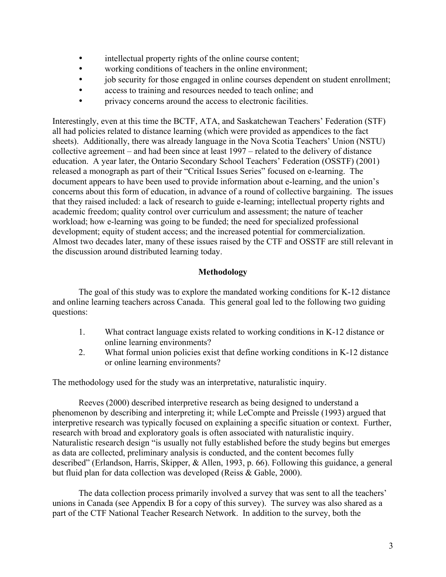- intellectual property rights of the online course content;<br>• working conditions of teachers in the online environment
- working conditions of teachers in the online environment;
- job security for those engaged in online courses dependent on student enrollment;
- access to training and resources needed to teach online; and
- privacy concerns around the access to electronic facilities.

Interestingly, even at this time the BCTF, ATA, and Saskatchewan Teachers' Federation (STF) all had policies related to distance learning (which were provided as appendices to the fact sheets). Additionally, there was already language in the Nova Scotia Teachers' Union (NSTU) collective agreement – and had been since at least 1997 – related to the delivery of distance education. A year later, the Ontario Secondary School Teachers' Federation (OSSTF) (2001) released a monograph as part of their "Critical Issues Series" focused on e-learning. The document appears to have been used to provide information about e-learning, and the union's concerns about this form of education, in advance of a round of collective bargaining. The issues that they raised included: a lack of research to guide e-learning; intellectual property rights and academic freedom; quality control over curriculum and assessment; the nature of teacher workload; how e-learning was going to be funded; the need for specialized professional development; equity of student access; and the increased potential for commercialization. Almost two decades later, many of these issues raised by the CTF and OSSTF are still relevant in the discussion around distributed learning today.

## **Methodology**

The goal of this study was to explore the mandated working conditions for K-12 distance and online learning teachers across Canada. This general goal led to the following two guiding questions:

- 1. What contract language exists related to working conditions in K-12 distance or online learning environments?
- 2. What formal union policies exist that define working conditions in K-12 distance or online learning environments?

The methodology used for the study was an interpretative, naturalistic inquiry.

Reeves (2000) described interpretive research as being designed to understand a phenomenon by describing and interpreting it; while LeCompte and Preissle (1993) argued that interpretive research was typically focused on explaining a specific situation or context. Further, research with broad and exploratory goals is often associated with naturalistic inquiry. Naturalistic research design "is usually not fully established before the study begins but emerges as data are collected, preliminary analysis is conducted, and the content becomes fully described" (Erlandson, Harris, Skipper, & Allen, 1993, p. 66). Following this guidance, a general but fluid plan for data collection was developed (Reiss & Gable, 2000).

The data collection process primarily involved a survey that was sent to all the teachers' unions in Canada (see Appendix B for a copy of this survey). The survey was also shared as a part of the CTF National Teacher Research Network. In addition to the survey, both the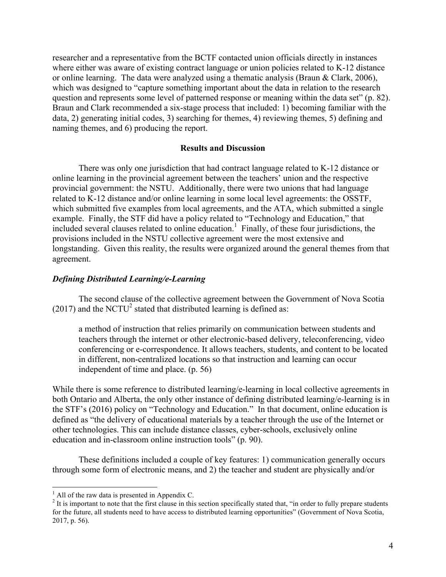researcher and a representative from the BCTF contacted union officials directly in instances where either was aware of existing contract language or union policies related to K-12 distance or online learning. The data were analyzed using a thematic analysis (Braun & Clark, 2006), which was designed to "capture something important about the data in relation to the research question and represents some level of patterned response or meaning within the data set" (p. 82). Braun and Clark recommended a six-stage process that included: 1) becoming familiar with the data, 2) generating initial codes, 3) searching for themes, 4) reviewing themes, 5) defining and naming themes, and 6) producing the report.

#### **Results and Discussion**

There was only one jurisdiction that had contract language related to K-12 distance or online learning in the provincial agreement between the teachers' union and the respective provincial government: the NSTU. Additionally, there were two unions that had language related to K-12 distance and/or online learning in some local level agreements: the OSSTF, which submitted five examples from local agreements, and the ATA, which submitted a single example. Finally, the STF did have a policy related to "Technology and Education," that included several clauses related to online education.<sup>1</sup> Finally, of these four jurisdictions, the provisions included in the NSTU collective agreement were the most extensive and longstanding. Given this reality, the results were organized around the general themes from that agreement.

#### *Defining Distributed Learning/e-Learning*

The second clause of the collective agreement between the Government of Nova Scotia  $(2017)$  and the NCTU<sup>2</sup> stated that distributed learning is defined as:

a method of instruction that relies primarily on communication between students and teachers through the internet or other electronic-based delivery, teleconferencing, video conferencing or e-correspondence. It allows teachers, students, and content to be located in different, non-centralized locations so that instruction and learning can occur independent of time and place. (p. 56)

While there is some reference to distributed learning/e-learning in local collective agreements in both Ontario and Alberta, the only other instance of defining distributed learning/e-learning is in the STF's (2016) policy on "Technology and Education." In that document, online education is defined as "the delivery of educational materials by a teacher through the use of the Internet or other technologies. This can include distance classes, cyber-schools, exclusively online education and in-classroom online instruction tools" (p. 90).

These definitions included a couple of key features: 1) communication generally occurs through some form of electronic means, and 2) the teacher and student are physically and/or

<sup>&</sup>lt;sup>1</sup> All of the raw data is presented in Appendix C.<br><sup>2</sup> It is important to note that the first clause in this section specifically stated that, "in order to fully prepare students for the future, all students need to have access to distributed learning opportunities" (Government of Nova Scotia, 2017, p. 56).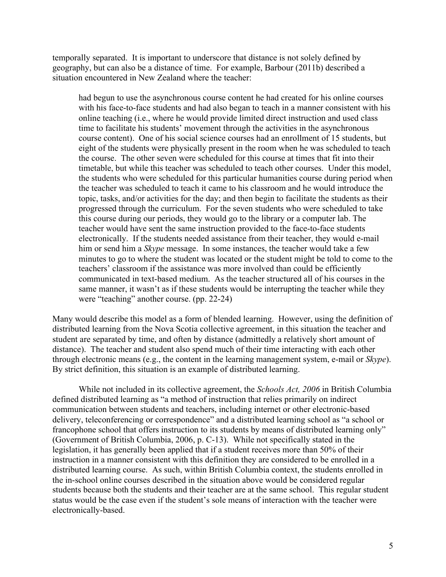temporally separated. It is important to underscore that distance is not solely defined by geography, but can also be a distance of time. For example, Barbour (2011b) described a situation encountered in New Zealand where the teacher:

had begun to use the asynchronous course content he had created for his online courses with his face-to-face students and had also began to teach in a manner consistent with his online teaching (i.e., where he would provide limited direct instruction and used class time to facilitate his students' movement through the activities in the asynchronous course content). One of his social science courses had an enrollment of 15 students, but eight of the students were physically present in the room when he was scheduled to teach the course. The other seven were scheduled for this course at times that fit into their timetable, but while this teacher was scheduled to teach other courses. Under this model, the students who were scheduled for this particular humanities course during period when the teacher was scheduled to teach it came to his classroom and he would introduce the topic, tasks, and/or activities for the day; and then begin to facilitate the students as their progressed through the curriculum. For the seven students who were scheduled to take this course during our periods, they would go to the library or a computer lab. The teacher would have sent the same instruction provided to the face-to-face students electronically. If the students needed assistance from their teacher, they would e-mail him or send him a *Skype* message. In some instances, the teacher would take a few minutes to go to where the student was located or the student might be told to come to the teachers' classroom if the assistance was more involved than could be efficiently communicated in text-based medium. As the teacher structured all of his courses in the same manner, it wasn't as if these students would be interrupting the teacher while they were "teaching" another course. (pp. 22-24)

Many would describe this model as a form of blended learning. However, using the definition of distributed learning from the Nova Scotia collective agreement, in this situation the teacher and student are separated by time, and often by distance (admittedly a relatively short amount of distance). The teacher and student also spend much of their time interacting with each other through electronic means (e.g., the content in the learning management system, e-mail or *Skype*). By strict definition, this situation is an example of distributed learning.

While not included in its collective agreement, the *Schools Act, 2006* in British Columbia defined distributed learning as "a method of instruction that relies primarily on indirect communication between students and teachers, including internet or other electronic-based delivery, teleconferencing or correspondence" and a distributed learning school as "a school or francophone school that offers instruction to its students by means of distributed learning only" (Government of British Columbia, 2006, p. C-13). While not specifically stated in the legislation, it has generally been applied that if a student receives more than 50% of their instruction in a manner consistent with this definition they are considered to be enrolled in a distributed learning course. As such, within British Columbia context, the students enrolled in the in-school online courses described in the situation above would be considered regular students because both the students and their teacher are at the same school. This regular student status would be the case even if the student's sole means of interaction with the teacher were electronically-based.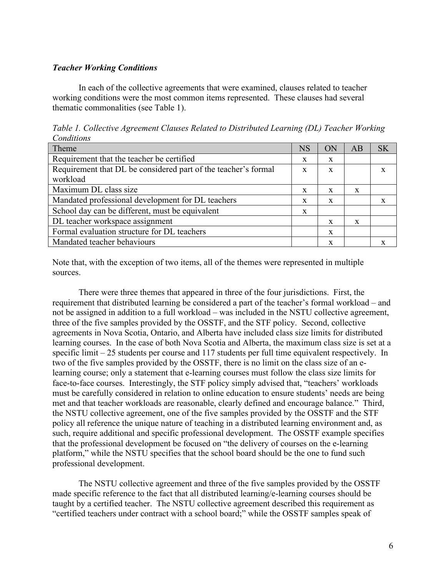#### *Teacher Working Conditions*

In each of the collective agreements that were examined, clauses related to teacher working conditions were the most common items represented. These clauses had several thematic commonalities (see Table 1).

*Table 1. Collective Agreement Clauses Related to Distributed Learning (DL) Teacher Working Conditions*

| Theme                                                          | <b>NS</b> | ОN | AB | SK |
|----------------------------------------------------------------|-----------|----|----|----|
| Requirement that the teacher be certified                      | X         | X  |    |    |
| Requirement that DL be considered part of the teacher's formal | X         | X  |    |    |
| workload                                                       |           |    |    |    |
| Maximum DL class size                                          | X         | X  | X  |    |
| Mandated professional development for DL teachers              | X         | X  |    |    |
| School day can be different, must be equivalent                | X         |    |    |    |
| DL teacher workspace assignment                                |           | X  | X  |    |
| Formal evaluation structure for DL teachers                    |           | X  |    |    |
| Mandated teacher behaviours                                    |           | x  |    |    |

Note that, with the exception of two items, all of the themes were represented in multiple sources.

There were three themes that appeared in three of the four jurisdictions. First, the requirement that distributed learning be considered a part of the teacher's formal workload – and not be assigned in addition to a full workload – was included in the NSTU collective agreement, three of the five samples provided by the OSSTF, and the STF policy. Second, collective agreements in Nova Scotia, Ontario, and Alberta have included class size limits for distributed learning courses. In the case of both Nova Scotia and Alberta, the maximum class size is set at a specific limit – 25 students per course and 117 students per full time equivalent respectively. In two of the five samples provided by the OSSTF, there is no limit on the class size of an elearning course; only a statement that e-learning courses must follow the class size limits for face-to-face courses. Interestingly, the STF policy simply advised that, "teachers' workloads must be carefully considered in relation to online education to ensure students' needs are being met and that teacher workloads are reasonable, clearly defined and encourage balance." Third, the NSTU collective agreement, one of the five samples provided by the OSSTF and the STF policy all reference the unique nature of teaching in a distributed learning environment and, as such, require additional and specific professional development. The OSSTF example specifies that the professional development be focused on "the delivery of courses on the e-learning platform," while the NSTU specifies that the school board should be the one to fund such professional development.

The NSTU collective agreement and three of the five samples provided by the OSSTF made specific reference to the fact that all distributed learning/e-learning courses should be taught by a certified teacher. The NSTU collective agreement described this requirement as "certified teachers under contract with a school board;" while the OSSTF samples speak of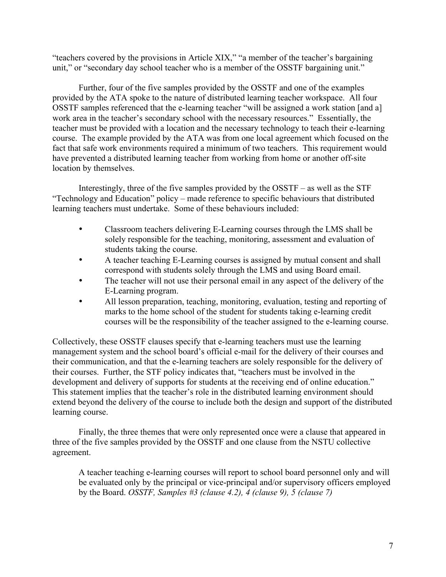"teachers covered by the provisions in Article XIX," "a member of the teacher's bargaining unit," or "secondary day school teacher who is a member of the OSSTF bargaining unit."

Further, four of the five samples provided by the OSSTF and one of the examples provided by the ATA spoke to the nature of distributed learning teacher workspace. All four OSSTF samples referenced that the e-learning teacher "will be assigned a work station [and a] work area in the teacher's secondary school with the necessary resources." Essentially, the teacher must be provided with a location and the necessary technology to teach their e-learning course. The example provided by the ATA was from one local agreement which focused on the fact that safe work environments required a minimum of two teachers. This requirement would have prevented a distributed learning teacher from working from home or another off-site location by themselves.

Interestingly, three of the five samples provided by the OSSTF – as well as the STF "Technology and Education" policy – made reference to specific behaviours that distributed learning teachers must undertake. Some of these behaviours included:

- Classroom teachers delivering E-Learning courses through the LMS shall be solely responsible for the teaching, monitoring, assessment and evaluation of students taking the course.
- A teacher teaching E-Learning courses is assigned by mutual consent and shall correspond with students solely through the LMS and using Board email.
- The teacher will not use their personal email in any aspect of the delivery of the E-Learning program.
- All lesson preparation, teaching, monitoring, evaluation, testing and reporting of marks to the home school of the student for students taking e-learning credit courses will be the responsibility of the teacher assigned to the e-learning course.

Collectively, these OSSTF clauses specify that e-learning teachers must use the learning management system and the school board's official e-mail for the delivery of their courses and their communication, and that the e-learning teachers are solely responsible for the delivery of their courses. Further, the STF policy indicates that, "teachers must be involved in the development and delivery of supports for students at the receiving end of online education." This statement implies that the teacher's role in the distributed learning environment should extend beyond the delivery of the course to include both the design and support of the distributed learning course.

Finally, the three themes that were only represented once were a clause that appeared in three of the five samples provided by the OSSTF and one clause from the NSTU collective agreement.

A teacher teaching e-learning courses will report to school board personnel only and will be evaluated only by the principal or vice-principal and/or supervisory officers employed by the Board. *OSSTF, Samples #3 (clause 4.2), 4 (clause 9), 5 (clause 7)*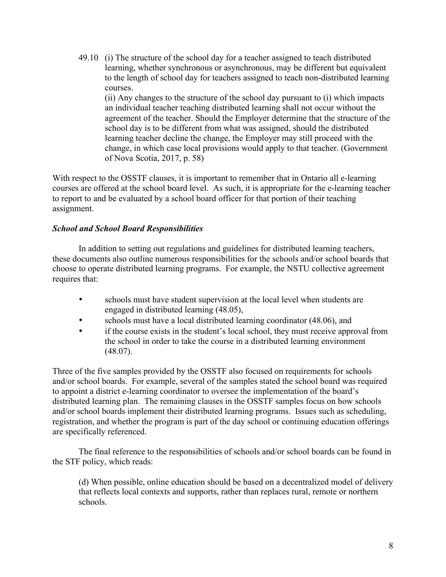49.10 (i) The structure of the school day for a teacher assigned to teach distributed learning, whether synchronous or asynchronous, may be different but equivalent to the length of school day for teachers assigned to teach non-distributed learning courses.

(ii) Any changes to the structure of the school day pursuant to (i) which impacts an individual teacher teaching distributed learning shall not occur without the agreement of the teacher. Should the Employer determine that the structure of the school day is to be different from what was assigned, should the distributed learning teacher decline the change, the Employer may still proceed with the change, in which case local provisions would apply to that teacher. (Government of Nova Scotia, 2017, p. 58)

With respect to the OSSTF clauses, it is important to remember that in Ontario all e-learning courses are offered at the school board level. As such, it is appropriate for the e-learning teacher to report to and be evaluated by a school board officer for that portion of their teaching assignment.

## *School and School Board Responsibilities*

In addition to setting out regulations and guidelines for distributed learning teachers, these documents also outline numerous responsibilities for the schools and/or school boards that choose to operate distributed learning programs. For example, the NSTU collective agreement requires that:

- schools must have student supervision at the local level when students are engaged in distributed learning (48.05),
- schools must have a local distributed learning coordinator (48.06), and<br>• if the course exists in the student's local school, they must receive appro-
- if the course exists in the student's local school, they must receive approval from the school in order to take the course in a distributed learning environment (48.07).

Three of the five samples provided by the OSSTF also focused on requirements for schools and/or school boards. For example, several of the samples stated the school board was required to appoint a district e-learning coordinator to oversee the implementation of the board's distributed learning plan. The remaining clauses in the OSSTF samples focus on how schools and/or school boards implement their distributed learning programs. Issues such as scheduling, registration, and whether the program is part of the day school or continuing education offerings are specifically referenced.

The final reference to the responsibilities of schools and/or school boards can be found in the STF policy, which reads:

(d) When possible, online education should be based on a decentralized model of delivery that reflects local contexts and supports, rather than replaces rural, remote or northern schools.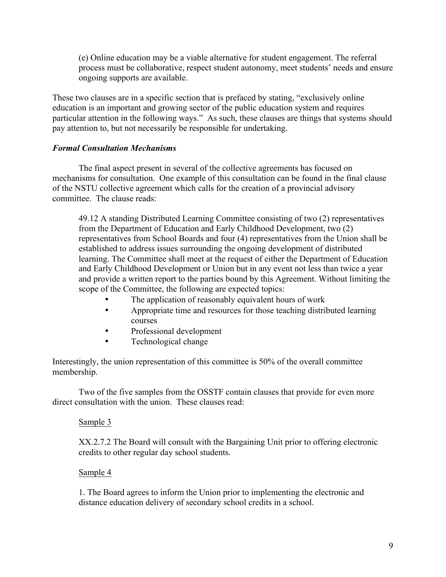(e) Online education may be a viable alternative for student engagement. The referral process must be collaborative, respect student autonomy, meet students' needs and ensure ongoing supports are available.

These two clauses are in a specific section that is prefaced by stating, "exclusively online education is an important and growing sector of the public education system and requires particular attention in the following ways." As such, these clauses are things that systems should pay attention to, but not necessarily be responsible for undertaking.

#### *Formal Consultation Mechanisms*

The final aspect present in several of the collective agreements has focused on mechanisms for consultation. One example of this consultation can be found in the final clause of the NSTU collective agreement which calls for the creation of a provincial advisory committee. The clause reads:

49.12 A standing Distributed Learning Committee consisting of two (2) representatives from the Department of Education and Early Childhood Development, two (2) representatives from School Boards and four (4) representatives from the Union shall be established to address issues surrounding the ongoing development of distributed learning. The Committee shall meet at the request of either the Department of Education and Early Childhood Development or Union but in any event not less than twice a year and provide a written report to the parties bound by this Agreement. Without limiting the scope of the Committee, the following are expected topics:

- The application of reasonably equivalent hours of work
- Appropriate time and resources for those teaching distributed learning courses
- Professional development
- Technological change

Interestingly, the union representation of this committee is 50% of the overall committee membership.

Two of the five samples from the OSSTF contain clauses that provide for even more direct consultation with the union. These clauses read:

#### Sample 3

XX.2.7.2 The Board will consult with the Bargaining Unit prior to offering electronic credits to other regular day school students.

#### Sample 4

1. The Board agrees to inform the Union prior to implementing the electronic and distance education delivery of secondary school credits in a school.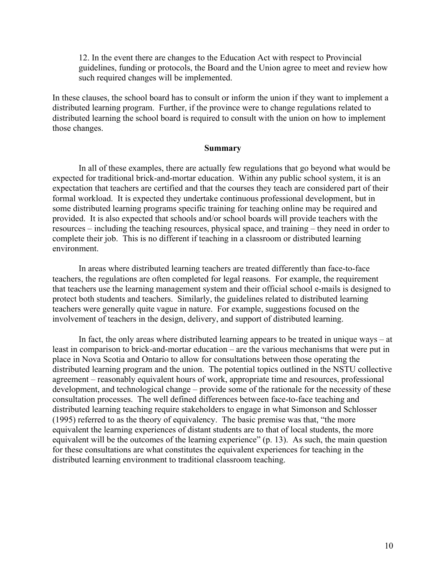12. In the event there are changes to the Education Act with respect to Provincial guidelines, funding or protocols, the Board and the Union agree to meet and review how such required changes will be implemented.

In these clauses, the school board has to consult or inform the union if they want to implement a distributed learning program. Further, if the province were to change regulations related to distributed learning the school board is required to consult with the union on how to implement those changes.

#### **Summary**

In all of these examples, there are actually few regulations that go beyond what would be expected for traditional brick-and-mortar education. Within any public school system, it is an expectation that teachers are certified and that the courses they teach are considered part of their formal workload. It is expected they undertake continuous professional development, but in some distributed learning programs specific training for teaching online may be required and provided. It is also expected that schools and/or school boards will provide teachers with the resources – including the teaching resources, physical space, and training – they need in order to complete their job. This is no different if teaching in a classroom or distributed learning environment.

In areas where distributed learning teachers are treated differently than face-to-face teachers, the regulations are often completed for legal reasons. For example, the requirement that teachers use the learning management system and their official school e-mails is designed to protect both students and teachers. Similarly, the guidelines related to distributed learning teachers were generally quite vague in nature. For example, suggestions focused on the involvement of teachers in the design, delivery, and support of distributed learning.

In fact, the only areas where distributed learning appears to be treated in unique ways – at least in comparison to brick-and-mortar education – are the various mechanisms that were put in place in Nova Scotia and Ontario to allow for consultations between those operating the distributed learning program and the union. The potential topics outlined in the NSTU collective agreement – reasonably equivalent hours of work, appropriate time and resources, professional development, and technological change – provide some of the rationale for the necessity of these consultation processes. The well defined differences between face-to-face teaching and distributed learning teaching require stakeholders to engage in what Simonson and Schlosser (1995) referred to as the theory of equivalency. The basic premise was that, "the more equivalent the learning experiences of distant students are to that of local students, the more equivalent will be the outcomes of the learning experience" (p. 13). As such, the main question for these consultations are what constitutes the equivalent experiences for teaching in the distributed learning environment to traditional classroom teaching.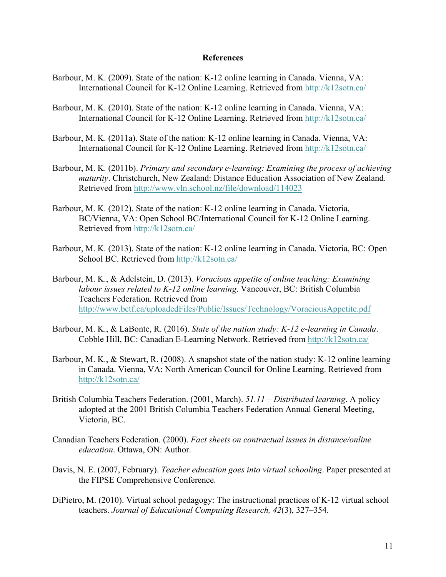#### **References**

- Barbour, M. K. (2009). State of the nation: K-12 online learning in Canada. Vienna, VA: International Council for K-12 Online Learning. Retrieved from<http://k12sotn.ca/>
- Barbour, M. K. (2010). State of the nation: K-12 online learning in Canada. Vienna, VA: International Council for K-12 Online Learning. Retrieved from<http://k12sotn.ca/>
- Barbour, M. K. (2011a). State of the nation: K-12 online learning in Canada. Vienna, VA: International Council for K-12 Online Learning. Retrieved from<http://k12sotn.ca/>
- Barbour, M. K. (2011b). *Primary and secondary e-learning: Examining the process of achieving maturity*. Christchurch, New Zealand: Distance Education Association of New Zealand. Retrieved from <http://www.vln.school.nz/file/download/114023>
- Barbour, M. K. (2012). State of the nation: K-12 online learning in Canada. Victoria, BC/Vienna, VA: Open School BC/International Council for K-12 Online Learning. Retrieved from <http://k12sotn.ca/>
- Barbour, M. K. (2013). State of the nation: K-12 online learning in Canada. Victoria, BC: Open School BC. Retrieved from<http://k12sotn.ca/>
- Barbour, M. K., & Adelstein, D. (2013). *Voracious appetite of online teaching: Examining labour issues related to K-12 online learning*. Vancouver, BC: British Columbia Teachers Federation. Retrieved from <http://www.bctf.ca/uploadedFiles/Public/Issues/Technology/VoraciousAppetite.pdf>
- Barbour, M. K., & LaBonte, R. (2016). *State of the nation study: K-12 e-learning in Canada*. Cobble Hill, BC: Canadian E-Learning Network. Retrieved from<http://k12sotn.ca/>
- Barbour, M. K., & Stewart, R. (2008). A snapshot state of the nation study: K-12 online learning in Canada. Vienna, VA: North American Council for Online Learning. Retrieved from <http://k12sotn.ca/>
- British Columbia Teachers Federation. (2001, March). *51.11 – Distributed learning*. A policy adopted at the 2001 British Columbia Teachers Federation Annual General Meeting, Victoria, BC.
- Canadian Teachers Federation. (2000). *Fact sheets on contractual issues in distance/online education*. Ottawa, ON: Author.
- Davis, N. E. (2007, February). *Teacher education goes into virtual schooling*. Paper presented at the FIPSE Comprehensive Conference.
- DiPietro, M. (2010). Virtual school pedagogy: The instructional practices of K-12 virtual school teachers. *Journal of Educational Computing Research, 42*(3), 327–354.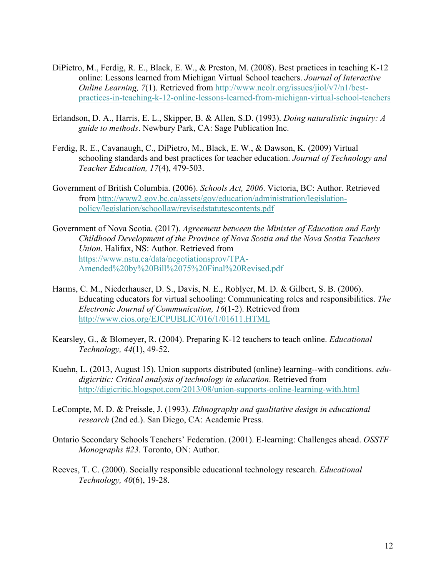- DiPietro, M., Ferdig, R. E., Black, E. W., & Preston, M. (2008). Best practices in teaching K-12 online: Lessons learned from Michigan Virtual School teachers. *Journal of Interactive Online Learning, 7*(1). Retrieved from [http://www.ncolr.org/issues/jiol/v7/n1/best](http://www.ncolr.org/issues/jiol/v7/n1/best-practices-in-teaching-k-12-online-lessons-learned-from-michigan-virtual-school-teachers)[practices-in-teaching-k-12-online-lessons-learned-from-michigan-virtual-school-teachers](http://www.ncolr.org/issues/jiol/v7/n1/best-practices-in-teaching-k-12-online-lessons-learned-from-michigan-virtual-school-teachers)
- Erlandson, D. A., Harris, E. L., Skipper, B. & Allen, S.D. (1993). *Doing naturalistic inquiry: A guide to methods*. Newbury Park, CA: Sage Publication Inc.
- Ferdig, R. E., Cavanaugh, C., DiPietro, M., Black, E. W., & Dawson, K. (2009) Virtual schooling standards and best practices for teacher education. *Journal of Technology and Teacher Education, 17*(4), 479-503.
- Government of British Columbia. (2006). *Schools Act, 2006*. Victoria, BC: Author. Retrieved from [http://www2.gov.bc.ca/assets/gov/education/administration/legislation](http://www2.gov.bc.ca/assets/gov/education/administration/legislation-policy/legislation/schoollaw/revisedstatutescontents.pdf)[policy/legislation/schoollaw/revisedstatutescontents.pdf](http://www2.gov.bc.ca/assets/gov/education/administration/legislation-policy/legislation/schoollaw/revisedstatutescontents.pdf)
- Government of Nova Scotia. (2017). *Agreement between the Minister of Education and Early Childhood Development of the Province of Nova Scotia and the Nova Scotia Teachers Union*. Halifax, NS: Author. Retrieved from [https://www.nstu.ca/data/negotiationsprov/TPA](https://www.nstu.ca/data/negotiationsprov/TPA-Amended by Bill 75 Final Revised.pdf)-[Amended%20by%20Bill%2075%20Final%20Revised.pdf](https://www.nstu.ca/data/negotiationsprov/TPA-Amended by Bill 75 Final Revised.pdf)
- Harms, C. M., Niederhauser, D. S., Davis, N. E., Roblyer, M. D. & Gilbert, S. B. (2006). Educating educators for virtual schooling: Communicating roles and responsibilities. *The Electronic Journal of Communication, 16*(1-2). Retrieved from <http://www.cios.org/EJCPUBLIC/016/1/01611.HTML>
- Kearsley, G., & Blomeyer, R. (2004). Preparing K-12 teachers to teach online. *Educational Technology, 44*(1), 49-52.
- Kuehn, L. (2013, August 15). Union supports distributed (online) learning--with conditions. *edudigicritic: Critical analysis of technology in education*. Retrieved from <http://digicritic.blogspot.com/2013/08/union-supports-online-learning-with.html>
- LeCompte, M. D. & Preissle, J. (1993). *Ethnography and qualitative design in educational research* (2nd ed.). San Diego, CA: Academic Press.
- Ontario Secondary Schools Teachers' Federation. (2001). E-learning: Challenges ahead. *OSSTF Monographs #23*. Toronto, ON: Author.
- Reeves, T. C. (2000). Socially responsible educational technology research. *Educational Technology, 40*(6), 19-28.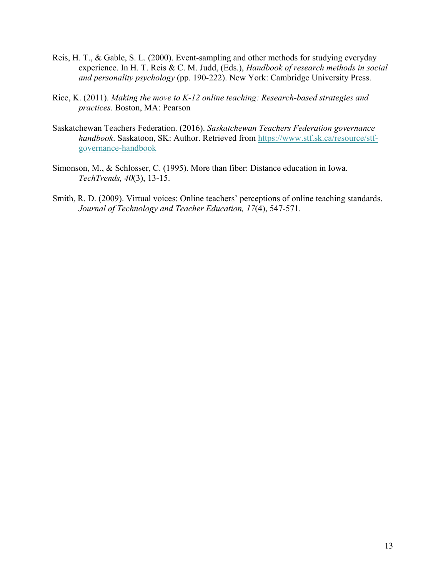- Reis, H. T., & Gable, S. L. (2000). Event-sampling and other methods for studying everyday experience. In H. T. Reis & C. M. Judd, (Eds.), *Handbook of research methods in social and personality psychology* (pp. 190-222). New York: Cambridge University Press.
- Rice, K. (2011). *Making the move to K-12 online teaching: Research-based strategies and practices*. Boston, MA: Pearson
- Saskatchewan Teachers Federation. (2016). *Saskatchewan Teachers Federation governance handbook*. Saskatoon, SK: Author. Retrieved from [https://www.stf.sk.ca/resource/stf](https://www.stf.sk.ca/resource/stf-governance-handbook)[governance-handbook](https://www.stf.sk.ca/resource/stf-governance-handbook)
- Simonson, M., & Schlosser, C. (1995). More than fiber: Distance education in Iowa. *TechTrends, 40*(3), 13-15.
- Smith, R. D. (2009). Virtual voices: Online teachers' perceptions of online teaching standards. *Journal of Technology and Teacher Education, 17*(4), 547-571.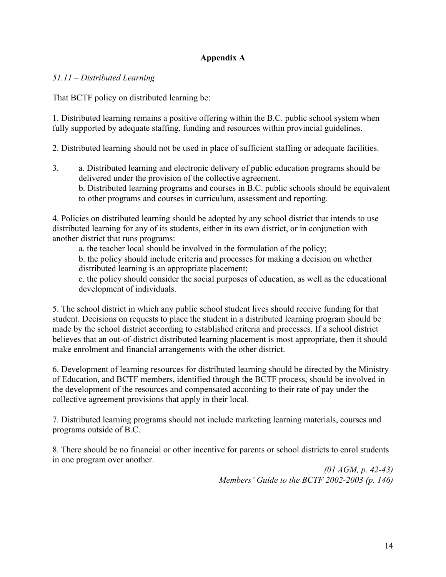## **Appendix A**

#### *51.11 – Distributed Learning*

That BCTF policy on distributed learning be:

1. Distributed learning remains a positive offering within the B.C. public school system when fully supported by adequate staffing, funding and resources within provincial guidelines.

2. Distributed learning should not be used in place of sufficient staffing or adequate facilities.

3. a. Distributed learning and electronic delivery of public education programs should be delivered under the provision of the collective agreement. b. Distributed learning programs and courses in B.C. public schools should be equivalent to other programs and courses in curriculum, assessment and reporting.

4. Policies on distributed learning should be adopted by any school district that intends to use distributed learning for any of its students, either in its own district, or in conjunction with another district that runs programs:

a. the teacher local should be involved in the formulation of the policy;

b. the policy should include criteria and processes for making a decision on whether distributed learning is an appropriate placement;

c. the policy should consider the social purposes of education, as well as the educational development of individuals.

5. The school district in which any public school student lives should receive funding for that student. Decisions on requests to place the student in a distributed learning program should be made by the school district according to established criteria and processes. If a school district believes that an out-of-district distributed learning placement is most appropriate, then it should make enrolment and financial arrangements with the other district.

6. Development of learning resources for distributed learning should be directed by the Ministry of Education, and BCTF members, identified through the BCTF process, should be involved in the development of the resources and compensated according to their rate of pay under the collective agreement provisions that apply in their local.

7. Distributed learning programs should not include marketing learning materials, courses and programs outside of B.C.

8. There should be no financial or other incentive for parents or school districts to enrol students in one program over another.

> *(01 AGM, p. 42-43) Members' Guide to the BCTF 2002-2003 (p. 146)*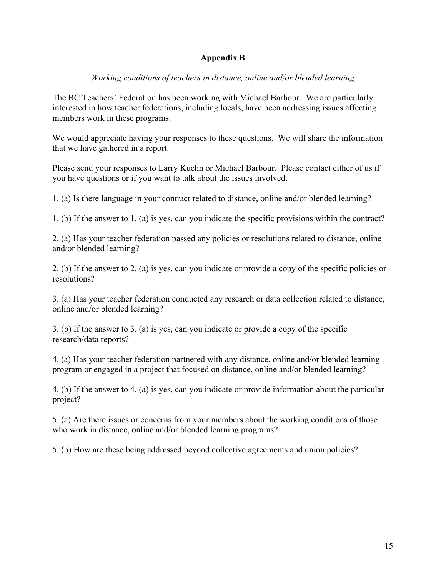## **Appendix B**

## *Working conditions of teachers in distance, online and/or blended learning*

The BC Teachers' Federation has been working with Michael Barbour. We are particularly interested in how teacher federations, including locals, have been addressing issues affecting members work in these programs.

We would appreciate having your responses to these questions. We will share the information that we have gathered in a report.

Please send your responses to Larry Kuehn or Michael Barbour. Please contact either of us if you have questions or if you want to talk about the issues involved.

1. (a) Is there language in your contract related to distance, online and/or blended learning?

1. (b) If the answer to 1. (a) is yes, can you indicate the specific provisions within the contract?

2. (a) Has your teacher federation passed any policies or resolutions related to distance, online and/or blended learning?

2. (b) If the answer to 2. (a) is yes, can you indicate or provide a copy of the specific policies or resolutions?

3. (a) Has your teacher federation conducted any research or data collection related to distance, online and/or blended learning?

3. (b) If the answer to 3. (a) is yes, can you indicate or provide a copy of the specific research/data reports?

4. (a) Has your teacher federation partnered with any distance, online and/or blended learning program or engaged in a project that focused on distance, online and/or blended learning?

4. (b) If the answer to 4. (a) is yes, can you indicate or provide information about the particular project?

5. (a) Are there issues or concerns from your members about the working conditions of those who work in distance, online and/or blended learning programs?

5. (b) How are these being addressed beyond collective agreements and union policies?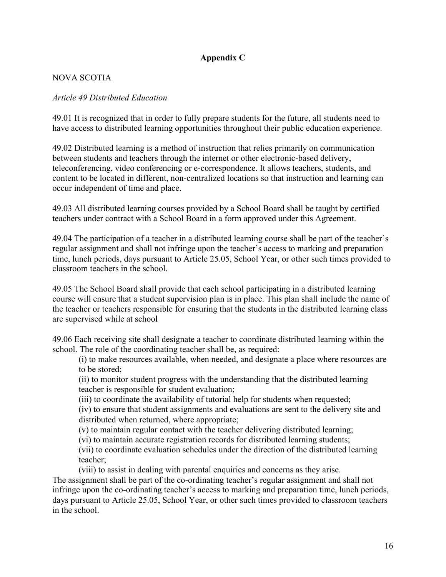## **Appendix C**

## NOVA SCOTIA

#### *Article 49 Distributed Education*

49.01 It is recognized that in order to fully prepare students for the future, all students need to have access to distributed learning opportunities throughout their public education experience.

49.02 Distributed learning is a method of instruction that relies primarily on communication between students and teachers through the internet or other electronic-based delivery, teleconferencing, video conferencing or e-correspondence. It allows teachers, students, and content to be located in different, non-centralized locations so that instruction and learning can occur independent of time and place.

49.03 All distributed learning courses provided by a School Board shall be taught by certified teachers under contract with a School Board in a form approved under this Agreement.

49.04 The participation of a teacher in a distributed learning course shall be part of the teacher's regular assignment and shall not infringe upon the teacher's access to marking and preparation time, lunch periods, days pursuant to Article 25.05, School Year, or other such times provided to classroom teachers in the school.

49.05 The School Board shall provide that each school participating in a distributed learning course will ensure that a student supervision plan is in place. This plan shall include the name of the teacher or teachers responsible for ensuring that the students in the distributed learning class are supervised while at school

49.06 Each receiving site shall designate a teacher to coordinate distributed learning within the school. The role of the coordinating teacher shall be, as required:

(i) to make resources available, when needed, and designate a place where resources are to be stored;

(ii) to monitor student progress with the understanding that the distributed learning teacher is responsible for student evaluation;

(iii) to coordinate the availability of tutorial help for students when requested;

(iv) to ensure that student assignments and evaluations are sent to the delivery site and distributed when returned, where appropriate;

(v) to maintain regular contact with the teacher delivering distributed learning;

(vi) to maintain accurate registration records for distributed learning students;

(vii) to coordinate evaluation schedules under the direction of the distributed learning teacher;

(viii) to assist in dealing with parental enquiries and concerns as they arise.

The assignment shall be part of the co-ordinating teacher's regular assignment and shall not infringe upon the co-ordinating teacher's access to marking and preparation time, lunch periods, days pursuant to Article 25.05, School Year, or other such times provided to classroom teachers in the school.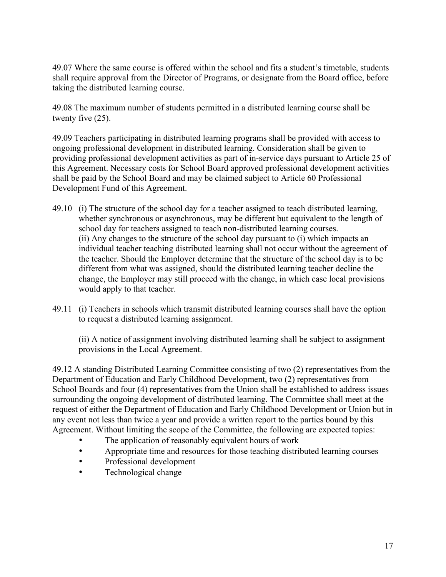49.07 Where the same course is offered within the school and fits a student's timetable, students shall require approval from the Director of Programs, or designate from the Board office, before taking the distributed learning course.

49.08 The maximum number of students permitted in a distributed learning course shall be twenty five (25).

49.09 Teachers participating in distributed learning programs shall be provided with access to ongoing professional development in distributed learning. Consideration shall be given to providing professional development activities as part of in-service days pursuant to Article 25 of this Agreement. Necessary costs for School Board approved professional development activities shall be paid by the School Board and may be claimed subject to Article 60 Professional Development Fund of this Agreement.

- 49.10 (i) The structure of the school day for a teacher assigned to teach distributed learning, whether synchronous or asynchronous, may be different but equivalent to the length of school day for teachers assigned to teach non-distributed learning courses. (ii) Any changes to the structure of the school day pursuant to (i) which impacts an individual teacher teaching distributed learning shall not occur without the agreement of the teacher. Should the Employer determine that the structure of the school day is to be different from what was assigned, should the distributed learning teacher decline the change, the Employer may still proceed with the change, in which case local provisions would apply to that teacher.
- 49.11 (i) Teachers in schools which transmit distributed learning courses shall have the option to request a distributed learning assignment.

(ii) A notice of assignment involving distributed learning shall be subject to assignment provisions in the Local Agreement.

49.12 A standing Distributed Learning Committee consisting of two (2) representatives from the Department of Education and Early Childhood Development, two (2) representatives from School Boards and four (4) representatives from the Union shall be established to address issues surrounding the ongoing development of distributed learning. The Committee shall meet at the request of either the Department of Education and Early Childhood Development or Union but in any event not less than twice a year and provide a written report to the parties bound by this Agreement. Without limiting the scope of the Committee, the following are expected topics:

- The application of reasonably equivalent hours of work
- Appropriate time and resources for those teaching distributed learning courses
- Professional development
- Technological change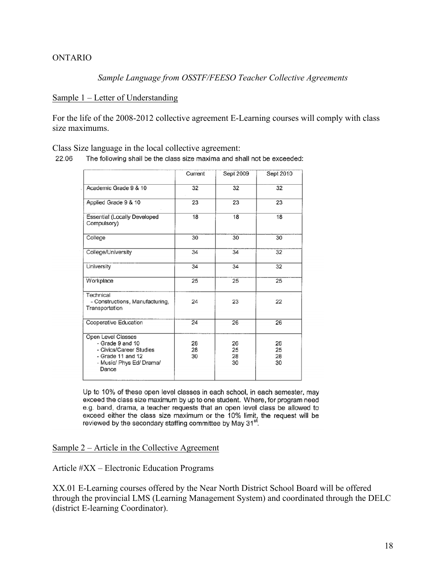#### ONTARIO

*Sample Language from OSSTF/FEESO Teacher Collective Agreements*

#### Sample 1 – Letter of Understanding

For the life of the 2008-2012 collective agreement E-Learning courses will comply with class size maximums.

Class Size language in the local collective agreement:

22.06 The following shall be the class size maxima and shall not be exceeded:

|                                                                                                                               | Current        | Sept 2009            | Sept 2010            |
|-------------------------------------------------------------------------------------------------------------------------------|----------------|----------------------|----------------------|
| Academic Grade 9 & 10                                                                                                         | 32             | 32                   | 32                   |
| Applied Grade 9 & 10                                                                                                          | 23             | 23                   | 23                   |
| <b>Essential (Locally Developed</b><br>Compulsory)                                                                            | 18             | 18                   | 18                   |
| College                                                                                                                       | 30             | 30                   | 30                   |
| College/University                                                                                                            | 34             | 34                   | 32                   |
| University                                                                                                                    | 34             | 34                   | 32                   |
| Workplace                                                                                                                     | 25             | 25                   | 25                   |
| Technical<br>- Constructions, Manufacturing,<br>Transportation                                                                | 24             | 23                   | 22                   |
| Cooperative Education                                                                                                         | 24             | 26                   | 26                   |
| Open Level Classes<br>- Grade 9 and 10<br>- Civics/Career Studies<br>- Grade 11 and $12$<br>- Music/ Phys Ed/ Drama/<br>Dance | 28<br>28<br>30 | 26<br>25<br>28<br>30 | 26<br>25<br>28<br>30 |

Up to 10% of these open level classes in each school, in each semester, may exceed the class size maximum by up to one student. Where, for program need e.g. band, drama, a teacher requests that an open level class be allowed to  $\frac{1}{2}$  and the the class size maximum or the 10% limit, the request will be existent the class size maximum or the 10% limit, the request will be reviewed by the secondary staffing committee by May 31<sup>st</sup>.

#### Sample 2 – Article in the Collective Agreement

Article #XX – Electronic Education Programs

XX.01 E-Learning courses offered by the Near North District School Board will be offered through the provincial LMS (Learning Management System) and coordinated through the DELC (district E-learning Coordinator).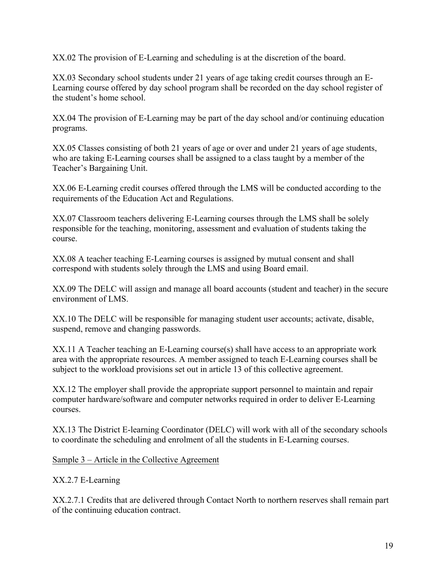XX.02 The provision of E-Learning and scheduling is at the discretion of the board.

XX.03 Secondary school students under 21 years of age taking credit courses through an E-Learning course offered by day school program shall be recorded on the day school register of the student's home school.

XX.04 The provision of E-Learning may be part of the day school and/or continuing education programs.

XX.05 Classes consisting of both 21 years of age or over and under 21 years of age students, who are taking E-Learning courses shall be assigned to a class taught by a member of the Teacher's Bargaining Unit.

XX.06 E-Learning credit courses offered through the LMS will be conducted according to the requirements of the Education Act and Regulations.

XX.07 Classroom teachers delivering E-Learning courses through the LMS shall be solely responsible for the teaching, monitoring, assessment and evaluation of students taking the course.

XX.08 A teacher teaching E-Learning courses is assigned by mutual consent and shall correspond with students solely through the LMS and using Board email.

XX.09 The DELC will assign and manage all board accounts (student and teacher) in the secure environment of LMS.

XX.10 The DELC will be responsible for managing student user accounts; activate, disable, suspend, remove and changing passwords.

XX.11 A Teacher teaching an E-Learning course(s) shall have access to an appropriate work area with the appropriate resources. A member assigned to teach E-Learning courses shall be subject to the workload provisions set out in article 13 of this collective agreement.

XX.12 The employer shall provide the appropriate support personnel to maintain and repair computer hardware/software and computer networks required in order to deliver E-Learning courses.

XX.13 The District E-learning Coordinator (DELC) will work with all of the secondary schools to coordinate the scheduling and enrolment of all the students in E-Learning courses.

Sample 3 – Article in the Collective Agreement

XX.2.7 E-Learning

XX.2.7.1 Credits that are delivered through Contact North to northern reserves shall remain part of the continuing education contract.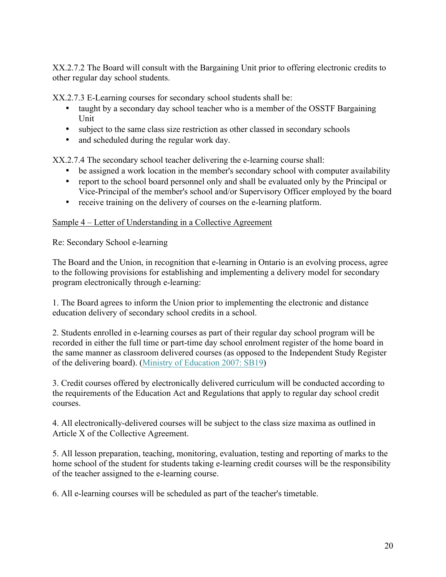XX.2.7.2 The Board will consult with the Bargaining Unit prior to offering electronic credits to other regular day school students.

XX.2.7.3 E-Learning courses for secondary school students shall be:

- taught by a secondary day school teacher who is a member of the OSSTF Bargaining Unit
- subject to the same class size restriction as other classed in secondary schools
- and scheduled during the regular work day.

XX.2.7.4 The secondary school teacher delivering the e-learning course shall:

- be assigned a work location in the member's secondary school with computer availability
- report to the school board personnel only and shall be evaluated only by the Principal or Vice-Principal of the member's school and/or Supervisory Officer employed by the board
- receive training on the delivery of courses on the e-learning platform.

## Sample 4 – Letter of Understanding in a Collective Agreement

Re: Secondary School e-learning

The Board and the Union, in recognition that e-learning in Ontario is an evolving process, agree to the following provisions for establishing and implementing a delivery model for secondary program electronically through e-learning:

1. The Board agrees to inform the Union prior to implementing the electronic and distance education delivery of secondary school credits in a school.

2. Students enrolled in e-learning courses as part of their regular day school program will be recorded in either the full time or part-time day school enrolment register of the home board in the same manner as classroom delivered courses (as opposed to the Independent Study Register of the delivering board). [\(Ministry of Education 2007: SB19](https://efis.fma.csc.gov.on.ca/faab/Memos/SB2007/SB_19.pdf))

3. Credit courses offered by electronically delivered curriculum will be conducted according to the requirements of the Education Act and Regulations that apply to regular day school credit courses.

4. All electronically-delivered courses will be subject to the class size maxima as outlined in Article X of the Collective Agreement.

5. All lesson preparation, teaching, monitoring, evaluation, testing and reporting of marks to the home school of the student for students taking e-learning credit courses will be the responsibility of the teacher assigned to the e-learning course.

6. All e-learning courses will be scheduled as part of the teacher's timetable.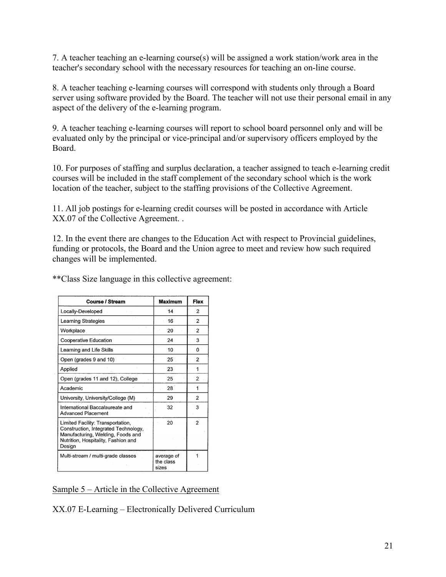7. A teacher teaching an e-learning course(s) will be assigned a work station/work area in the teacher's secondary school with the necessary resources for teaching an on-line course.

8. A teacher teaching e-learning courses will correspond with students only through a Board server using software provided by the Board. The teacher will not use their personal email in any aspect of the delivery of the e-learning program.

9. A teacher teaching e-learning courses will report to school board personnel only and will be evaluated only by the principal or vice-principal and/or supervisory officers employed by the Board.

10. For purposes of staffing and surplus declaration, a teacher assigned to teach e-learning credit courses will be included in the staff complement of the secondary school which is the work location of the teacher, subject to the staffing provisions of the Collective Agreement.

11. All job postings for e-learning credit courses will be posted in accordance with Article XX.07 of the Collective Agreement. .

12. In the event there are changes to the Education Act with respect to Provincial guidelines, funding or protocols, the Board and the Union agree to meet and review how such required changes will be implemented.

| <b>Course / Stream</b>                                                                                                                                          | <b>Maximum</b>                   | Flex           |
|-----------------------------------------------------------------------------------------------------------------------------------------------------------------|----------------------------------|----------------|
| Locally-Developed                                                                                                                                               | 14                               | 2              |
| Learning Strategies                                                                                                                                             | 16                               | 2              |
| Workplace                                                                                                                                                       | 20                               | 2              |
| Cooperative Education                                                                                                                                           | 24                               | 3              |
| Learning and Life Skills                                                                                                                                        | 10                               | 0              |
| Open (grades 9 and 10)                                                                                                                                          | 25                               | $\overline{2}$ |
| Applied                                                                                                                                                         | 23                               | 1              |
| Open (grades 11 and 12), College                                                                                                                                | 25                               | $\overline{2}$ |
| Academic                                                                                                                                                        | 28                               | 1              |
| University, University/College (M)                                                                                                                              | 29                               | $\overline{2}$ |
| International Baccalaureate and<br>Advanced Placement                                                                                                           | 32                               | 3              |
| Limited Facility: Transportation,<br>Construction, Integrated Technology,<br>Manufacturing, Welding, Foods and<br>Nutrition, Hospitality, Fashion and<br>Design | 20                               | $\overline{2}$ |
| Multi-stream / multi-grade classes                                                                                                                              | average of<br>the class<br>sizes |                |

\*\*Class Size language in this collective agreement:

Sample 5 – Article in the Collective Agreement

XX.07 E-Learning – Electronically Delivered Curriculum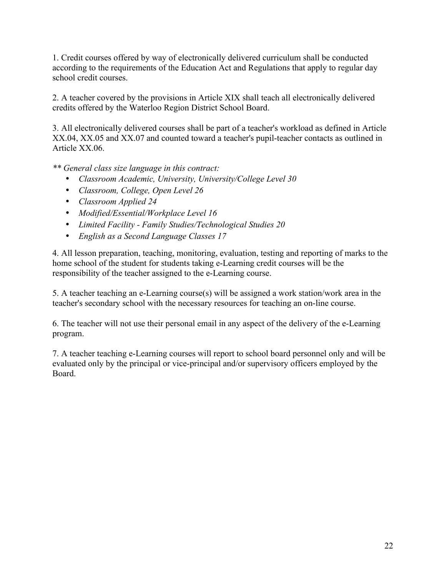1. Credit courses offered by way of electronically delivered curriculum shall be conducted according to the requirements of the Education Act and Regulations that apply to regular day school credit courses.

2. A teacher covered by the provisions in Article XIX shall teach all electronically delivered credits offered by the Waterloo Region District School Board.

3. All electronically delivered courses shall be part of a teacher's workload as defined in Article XX.04, XX.05 and XX.07 and counted toward a teacher's pupil-teacher contacts as outlined in Article XX.06.

*\*\* General class size language in this contract:*

- *Classroom Academic, University, University/College Level 30*
- *Classroom, College, Open Level 26*
- *Classroom Applied 24*
- *Modified/Essential/Workplace Level 16*
- *Limited Facility - Family Studies/Technological Studies 20*
- *English as a Second Language Classes 17*

4. All lesson preparation, teaching, monitoring, evaluation, testing and reporting of marks to the home school of the student for students taking e-Learning credit courses will be the responsibility of the teacher assigned to the e-Learning course.

5. A teacher teaching an e-Learning course(s) will be assigned a work station/work area in the teacher's secondary school with the necessary resources for teaching an on-line course.

6. The teacher will not use their personal email in any aspect of the delivery of the e-Learning program.

7. A teacher teaching e-Learning courses will report to school board personnel only and will be evaluated only by the principal or vice-principal and/or supervisory officers employed by the Board.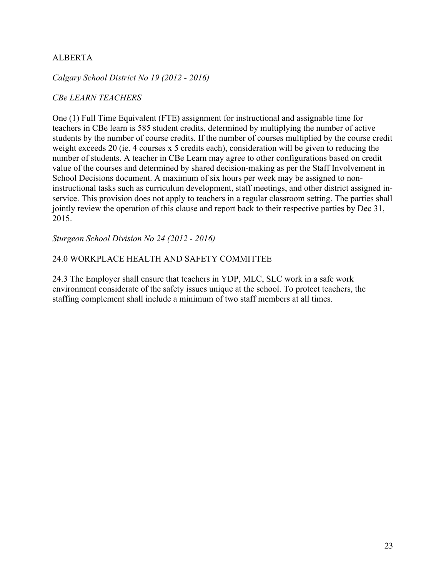## ALBERTA

#### *Calgary School District No 19 (2012 - 2016)*

#### *CBe LEARN TEACHERS*

One (1) Full Time Equivalent (FTE) assignment for instructional and assignable time for teachers in CBe learn is 585 student credits, determined by multiplying the number of active students by the number of course credits. If the number of courses multiplied by the course credit weight exceeds 20 (ie. 4 courses x 5 credits each), consideration will be given to reducing the number of students. A teacher in CBe Learn may agree to other configurations based on credit value of the courses and determined by shared decision-making as per the Staff Involvement in School Decisions document. A maximum of six hours per week may be assigned to noninstructional tasks such as curriculum development, staff meetings, and other district assigned inservice. This provision does not apply to teachers in a regular classroom setting. The parties shall jointly review the operation of this clause and report back to their respective parties by Dec 31, 2015.

*Sturgeon School Division No 24 (2012 - 2016)*

#### 24.0 WORKPLACE HEALTH AND SAFETY COMMITTEE

24.3 The Employer shall ensure that teachers in YDP, MLC, SLC work in a safe work environment considerate of the safety issues unique at the school. To protect teachers, the staffing complement shall include a minimum of two staff members at all times.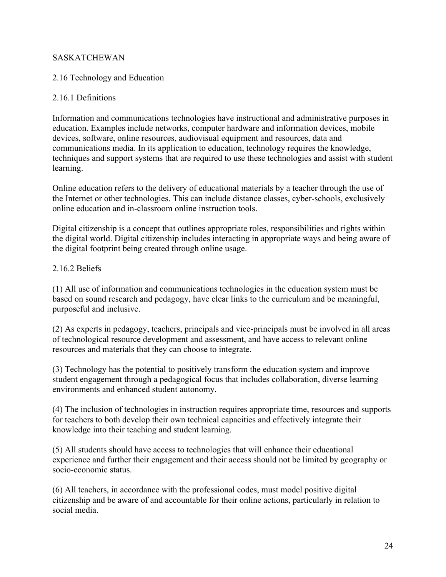## SASKATCHEWAN

## 2.16 Technology and Education

## 2.16.1 Definitions

Information and communications technologies have instructional and administrative purposes in education. Examples include networks, computer hardware and information devices, mobile devices, software, online resources, audiovisual equipment and resources, data and communications media. In its application to education, technology requires the knowledge, techniques and support systems that are required to use these technologies and assist with student learning.

Online education refers to the delivery of educational materials by a teacher through the use of the Internet or other technologies. This can include distance classes, cyber-schools, exclusively online education and in-classroom online instruction tools.

Digital citizenship is a concept that outlines appropriate roles, responsibilities and rights within the digital world. Digital citizenship includes interacting in appropriate ways and being aware of the digital footprint being created through online usage.

## 2.16.2 Beliefs

(1) All use of information and communications technologies in the education system must be based on sound research and pedagogy, have clear links to the curriculum and be meaningful, purposeful and inclusive.

(2) As experts in pedagogy, teachers, principals and vice-principals must be involved in all areas of technological resource development and assessment, and have access to relevant online resources and materials that they can choose to integrate.

(3) Technology has the potential to positively transform the education system and improve student engagement through a pedagogical focus that includes collaboration, diverse learning environments and enhanced student autonomy.

(4) The inclusion of technologies in instruction requires appropriate time, resources and supports for teachers to both develop their own technical capacities and effectively integrate their knowledge into their teaching and student learning.

(5) All students should have access to technologies that will enhance their educational experience and further their engagement and their access should not be limited by geography or socio-economic status.

(6) All teachers, in accordance with the professional codes, must model positive digital citizenship and be aware of and accountable for their online actions, particularly in relation to social media.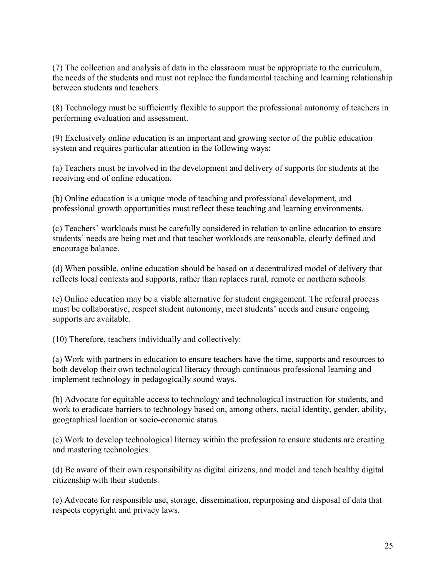(7) The collection and analysis of data in the classroom must be appropriate to the curriculum, the needs of the students and must not replace the fundamental teaching and learning relationship between students and teachers.

(8) Technology must be sufficiently flexible to support the professional autonomy of teachers in performing evaluation and assessment.

(9) Exclusively online education is an important and growing sector of the public education system and requires particular attention in the following ways:

(a) Teachers must be involved in the development and delivery of supports for students at the receiving end of online education.

(b) Online education is a unique mode of teaching and professional development, and professional growth opportunities must reflect these teaching and learning environments.

(c) Teachers' workloads must be carefully considered in relation to online education to ensure students' needs are being met and that teacher workloads are reasonable, clearly defined and encourage balance.

(d) When possible, online education should be based on a decentralized model of delivery that reflects local contexts and supports, rather than replaces rural, remote or northern schools.

(e) Online education may be a viable alternative for student engagement. The referral process must be collaborative, respect student autonomy, meet students' needs and ensure ongoing supports are available.

(10) Therefore, teachers individually and collectively:

(a) Work with partners in education to ensure teachers have the time, supports and resources to both develop their own technological literacy through continuous professional learning and implement technology in pedagogically sound ways.

(b) Advocate for equitable access to technology and technological instruction for students, and work to eradicate barriers to technology based on, among others, racial identity, gender, ability, geographical location or socio-economic status.

(c) Work to develop technological literacy within the profession to ensure students are creating and mastering technologies.

(d) Be aware of their own responsibility as digital citizens, and model and teach healthy digital citizenship with their students.

(e) Advocate for responsible use, storage, dissemination, repurposing and disposal of data that respects copyright and privacy laws.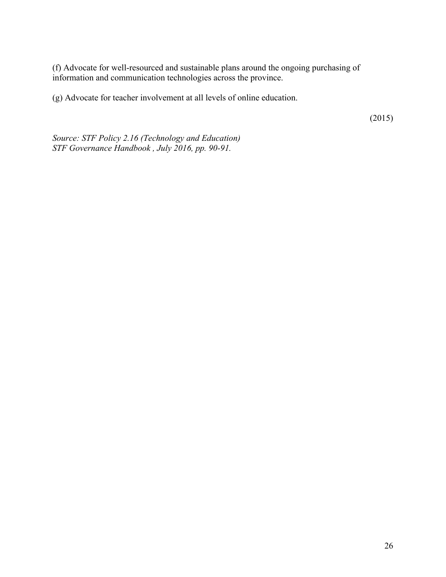(f) Advocate for well-resourced and sustainable plans around the ongoing purchasing of information and communication technologies across the province.

(g) Advocate for teacher involvement at all levels of online education.

(2015)

*Source: STF Policy 2.16 (Technology and Education) STF Governance Handbook , July 2016, pp. 90-91.*